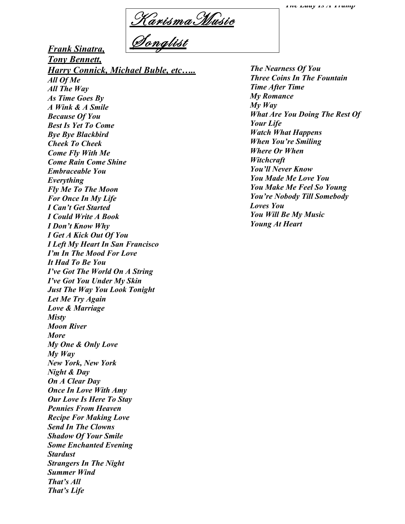K arismaM usic Songlist

*Frank Sinatra,* 

*Send In The Clowns Shadow Of Your Smile Some Enchanted Evening*

*Strangers In The Night*

*Stardust*

*Summer Wind That's All That's Life*

*Tony Bennett, Harry Connick, Michael Buble, etc….. All Of Me All The Way As Time Goes By A Wink & A Smile Because Of You Best Is Yet To Come Bye Bye Blackbird Cheek To Cheek Come Fly With Me Come Rain Come Shine Embraceable You Everything Fly Me To The Moon For Once In My Life I Can't Get Started I Could Write A Book I Don't Know Why I Get A Kick Out Of You I Left My Heart In San Francisco I'm In The Mood For Love It Had To Be You I've Got The World On A String I've Got You Under My Skin Just The Way You Look Tonight Let Me Try Again Love & Marriage Misty Moon River More My One & Only Love My Way New York, New York Night & Day On A Clear Day Once In Love With Amy Our Love Is Here To Stay Pennies From Heaven Recipe For Making Love*

*The Nearness Of You Three Coins In The Fountain Time After Time My Romance My Way What Are You Doing The Rest Of Your Life Watch What Happens When You're Smiling Where Or When Witchcraft You'll Never Know You Made Me Love You You Make Me Feel So Young You're Nobody Till Somebody Loves You You Will Be My Music Young At Heart*